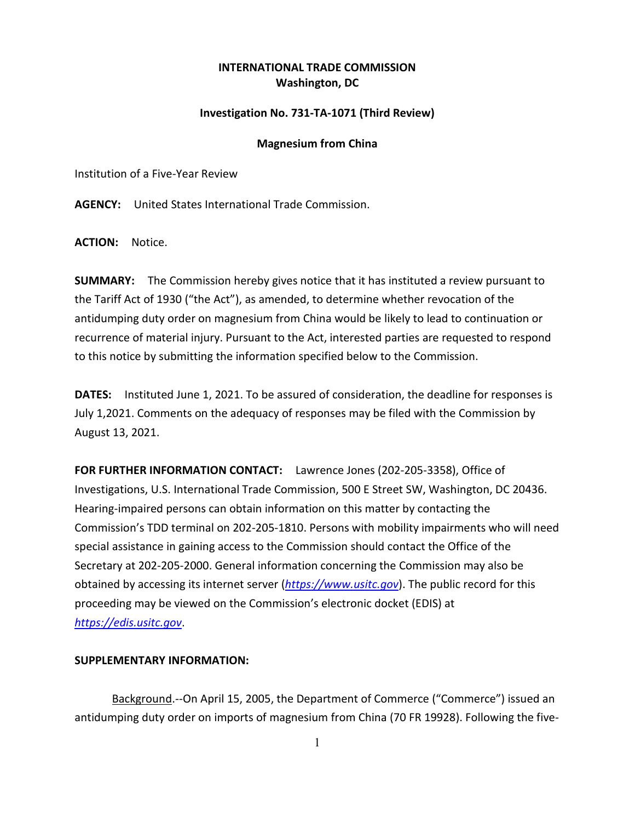# **INTERNATIONAL TRADE COMMISSION Washington, DC**

## **Investigation No. 731-TA-1071 (Third Review)**

#### **Magnesium from China**

Institution of a Five-Year Review

**AGENCY:** United States International Trade Commission.

**ACTION:** Notice.

**SUMMARY:** The Commission hereby gives notice that it has instituted a review pursuant to the Tariff Act of 1930 ("the Act"), as amended, to determine whether revocation of the antidumping duty order on magnesium from China would be likely to lead to continuation or recurrence of material injury. Pursuant to the Act, interested parties are requested to respond to this notice by submitting the information specified below to the Commission.

**DATES:** Instituted June 1, 2021. To be assured of consideration, the deadline for responses is July 1,2021. Comments on the adequacy of responses may be filed with the Commission by August 13, 2021.

**FOR FURTHER INFORMATION CONTACT:** Lawrence Jones (202-205-3358), Office of Investigations, U.S. International Trade Commission, 500 E Street SW, Washington, DC 20436. Hearing-impaired persons can obtain information on this matter by contacting the Commission's TDD terminal on 202-205-1810. Persons with mobility impairments who will need special assistance in gaining access to the Commission should contact the Office of the Secretary at 202-205-2000. General information concerning the Commission may also be obtained by accessing its internet server (*[https://www.usitc.gov](https://www.usitc.gov/)*). The public record for this proceeding may be viewed on the Commission's electronic docket (EDIS) at *[https://edis.usitc.gov](https://edis.usitc.gov/)*.

### **SUPPLEMENTARY INFORMATION:**

Background.--On April 15, 2005, the Department of Commerce ("Commerce") issued an antidumping duty order on imports of magnesium from China (70 FR 19928). Following the five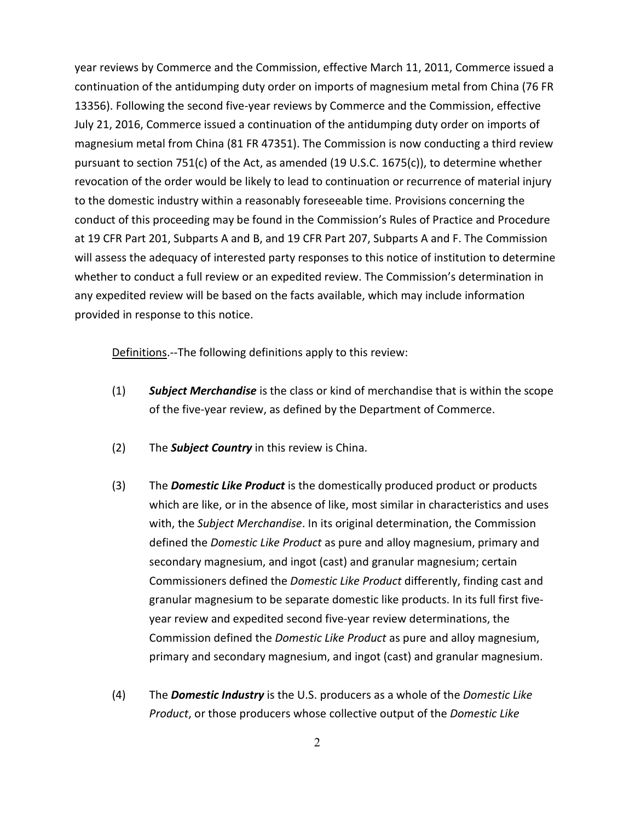year reviews by Commerce and the Commission, effective March 11, 2011, Commerce issued a continuation of the antidumping duty order on imports of magnesium metal from China (76 FR 13356). Following the second five-year reviews by Commerce and the Commission, effective July 21, 2016, Commerce issued a continuation of the antidumping duty order on imports of magnesium metal from China (81 FR 47351). The Commission is now conducting a third review pursuant to section 751(c) of the Act, as amended (19 U.S.C. 1675(c)), to determine whether revocation of the order would be likely to lead to continuation or recurrence of material injury to the domestic industry within a reasonably foreseeable time. Provisions concerning the conduct of this proceeding may be found in the Commission's Rules of Practice and Procedure at 19 CFR Part 201, Subparts A and B, and 19 CFR Part 207, Subparts A and F. The Commission will assess the adequacy of interested party responses to this notice of institution to determine whether to conduct a full review or an expedited review. The Commission's determination in any expedited review will be based on the facts available, which may include information provided in response to this notice.

Definitions.--The following definitions apply to this review:

- (1) *Subject Merchandise* is the class or kind of merchandise that is within the scope of the five-year review, as defined by the Department of Commerce.
- (2) The *Subject Country* in this review is China.
- (3) The *Domestic Like Product* is the domestically produced product or products which are like, or in the absence of like, most similar in characteristics and uses with, the *Subject Merchandise*. In its original determination, the Commission defined the *Domestic Like Product* as pure and alloy magnesium, primary and secondary magnesium, and ingot (cast) and granular magnesium; certain Commissioners defined the *Domestic Like Product* differently, finding cast and granular magnesium to be separate domestic like products. In its full first fiveyear review and expedited second five-year review determinations, the Commission defined the *Domestic Like Product* as pure and alloy magnesium, primary and secondary magnesium, and ingot (cast) and granular magnesium.
- (4) The *Domestic Industry* is the U.S. producers as a whole of the *Domestic Like Product*, or those producers whose collective output of the *Domestic Like*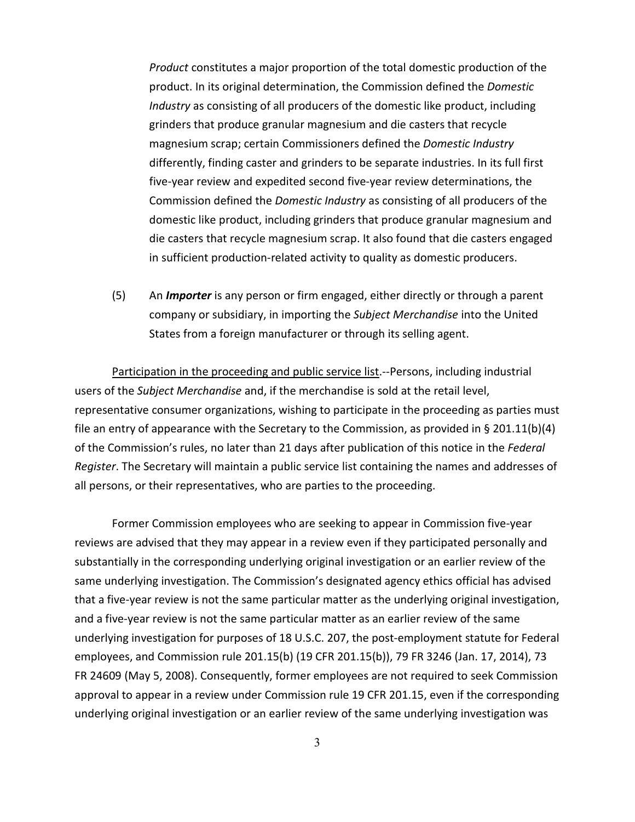*Product* constitutes a major proportion of the total domestic production of the product. In its original determination, the Commission defined the *Domestic Industry* as consisting of all producers of the domestic like product, including grinders that produce granular magnesium and die casters that recycle magnesium scrap; certain Commissioners defined the *Domestic Industry* differently, finding caster and grinders to be separate industries. In its full first five-year review and expedited second five-year review determinations, the Commission defined the *Domestic Industry* as consisting of all producers of the domestic like product, including grinders that produce granular magnesium and die casters that recycle magnesium scrap. It also found that die casters engaged in sufficient production-related activity to quality as domestic producers.

(5) An *Importer* is any person or firm engaged, either directly or through a parent company or subsidiary, in importing the *Subject Merchandise* into the United States from a foreign manufacturer or through its selling agent.

Participation in the proceeding and public service list.--Persons, including industrial users of the *Subject Merchandise* and, if the merchandise is sold at the retail level, representative consumer organizations, wishing to participate in the proceeding as parties must file an entry of appearance with the Secretary to the Commission, as provided in § 201.11(b)(4) of the Commission's rules, no later than 21 days after publication of this notice in the *Federal Register*. The Secretary will maintain a public service list containing the names and addresses of all persons, or their representatives, who are parties to the proceeding.

Former Commission employees who are seeking to appear in Commission five-year reviews are advised that they may appear in a review even if they participated personally and substantially in the corresponding underlying original investigation or an earlier review of the same underlying investigation. The Commission's designated agency ethics official has advised that a five-year review is not the same particular matter as the underlying original investigation, and a five-year review is not the same particular matter as an earlier review of the same underlying investigation for purposes of 18 U.S.C. 207, the post-employment statute for Federal employees, and Commission rule 201.15(b) (19 CFR 201.15(b)), 79 FR 3246 (Jan. 17, 2014), 73 FR 24609 (May 5, 2008). Consequently, former employees are not required to seek Commission approval to appear in a review under Commission rule 19 CFR 201.15, even if the corresponding underlying original investigation or an earlier review of the same underlying investigation was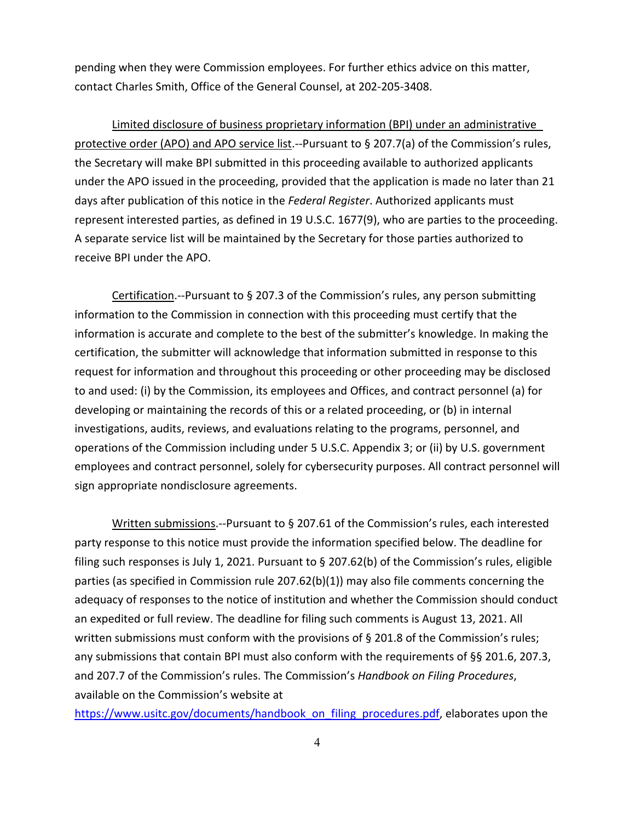pending when they were Commission employees. For further ethics advice on this matter, contact Charles Smith, Office of the General Counsel, at 202-205-3408.

Limited disclosure of business proprietary information (BPI) under an administrative protective order (APO) and APO service list.--Pursuant to § 207.7(a) of the Commission's rules, the Secretary will make BPI submitted in this proceeding available to authorized applicants under the APO issued in the proceeding, provided that the application is made no later than 21 days after publication of this notice in the *Federal Register*. Authorized applicants must represent interested parties, as defined in 19 U.S.C. 1677(9), who are parties to the proceeding. A separate service list will be maintained by the Secretary for those parties authorized to receive BPI under the APO.

Certification.--Pursuant to § 207.3 of the Commission's rules, any person submitting information to the Commission in connection with this proceeding must certify that the information is accurate and complete to the best of the submitter's knowledge. In making the certification, the submitter will acknowledge that information submitted in response to this request for information and throughout this proceeding or other proceeding may be disclosed to and used: (i) by the Commission, its employees and Offices, and contract personnel (a) for developing or maintaining the records of this or a related proceeding, or (b) in internal investigations, audits, reviews, and evaluations relating to the programs, personnel, and operations of the Commission including under 5 U.S.C. Appendix 3; or (ii) by U.S. government employees and contract personnel, solely for cybersecurity purposes. All contract personnel will sign appropriate nondisclosure agreements.

Written submissions.--Pursuant to § 207.61 of the Commission's rules, each interested party response to this notice must provide the information specified below. The deadline for filing such responses is July 1, 2021. Pursuant to § 207.62(b) of the Commission's rules, eligible parties (as specified in Commission rule 207.62(b)(1)) may also file comments concerning the adequacy of responses to the notice of institution and whether the Commission should conduct an expedited or full review. The deadline for filing such comments is August 13, 2021. All written submissions must conform with the provisions of § 201.8 of the Commission's rules; any submissions that contain BPI must also conform with the requirements of §§ 201.6, 207.3, and 207.7 of the Commission's rules. The Commission's *Handbook on Filing Procedures*, available on the Commission's website at

[https://www.usitc.gov/documents/handbook\\_on\\_filing\\_procedures.pdf,](https://www.usitc.gov/documents/handbook_on_filing_procedures.pdf) elaborates upon the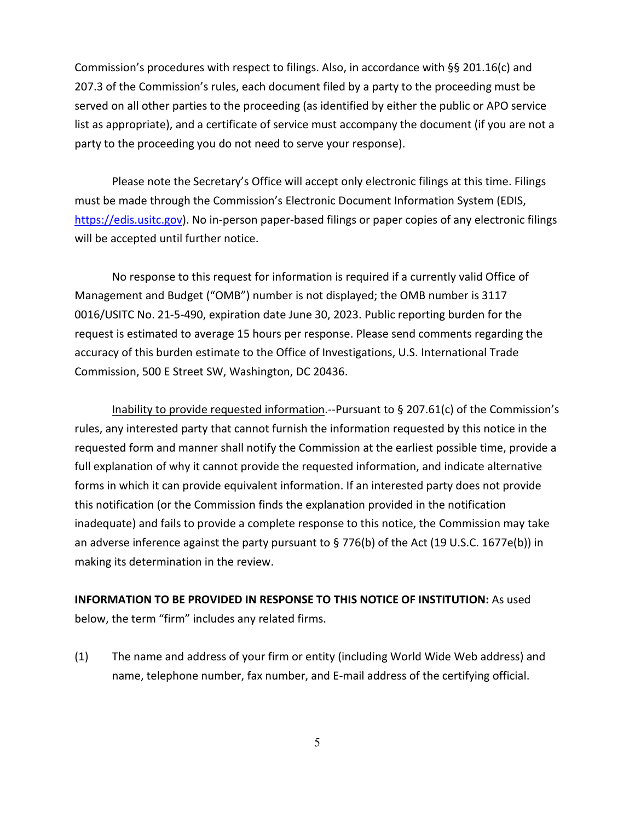Commission's procedures with respect to filings. Also, in accordance with §§ 201.16(c) and 207.3 of the Commission's rules, each document filed by a party to the proceeding must be served on all other parties to the proceeding (as identified by either the public or APO service list as appropriate), and a certificate of service must accompany the document (if you are not a party to the proceeding you do not need to serve your response).

Please note the Secretary's Office will accept only electronic filings at this time. Filings must be made through the Commission's Electronic Document Information System (EDIS, [https://edis.usitc.gov\)](https://edis.usitc.gov/). No in-person paper-based filings or paper copies of any electronic filings will be accepted until further notice.

No response to this request for information is required if a currently valid Office of Management and Budget ("OMB") number is not displayed; the OMB number is 3117 0016/USITC No. 21-5-490, expiration date June 30, 2023. Public reporting burden for the request is estimated to average 15 hours per response. Please send comments regarding the accuracy of this burden estimate to the Office of Investigations, U.S. International Trade Commission, 500 E Street SW, Washington, DC 20436.

Inability to provide requested information.--Pursuant to § 207.61(c) of the Commission's rules, any interested party that cannot furnish the information requested by this notice in the requested form and manner shall notify the Commission at the earliest possible time, provide a full explanation of why it cannot provide the requested information, and indicate alternative forms in which it can provide equivalent information. If an interested party does not provide this notification (or the Commission finds the explanation provided in the notification inadequate) and fails to provide a complete response to this notice, the Commission may take an adverse inference against the party pursuant to § 776(b) of the Act (19 U.S.C. 1677e(b)) in making its determination in the review.

# **INFORMATION TO BE PROVIDED IN RESPONSE TO THIS NOTICE OF INSTITUTION:** As used below, the term "firm" includes any related firms.

(1) The name and address of your firm or entity (including World Wide Web address) and name, telephone number, fax number, and E-mail address of the certifying official.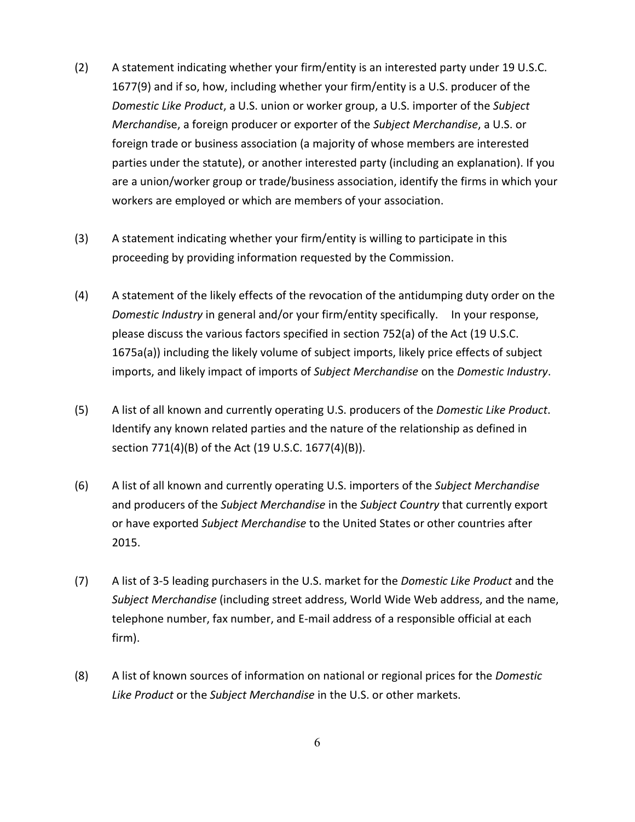- (2) A statement indicating whether your firm/entity is an interested party under 19 U.S.C. 1677(9) and if so, how, including whether your firm/entity is a U.S. producer of the *Domestic Like Product*, a U.S. union or worker group, a U.S. importer of the *Subject Merchandi*se, a foreign producer or exporter of the *Subject Merchandise*, a U.S. or foreign trade or business association (a majority of whose members are interested parties under the statute), or another interested party (including an explanation). If you are a union/worker group or trade/business association, identify the firms in which your workers are employed or which are members of your association.
- (3) A statement indicating whether your firm/entity is willing to participate in this proceeding by providing information requested by the Commission.
- (4) A statement of the likely effects of the revocation of the antidumping duty order on the *Domestic Industry* in general and/or your firm/entity specifically. In your response, please discuss the various factors specified in section 752(a) of the Act (19 U.S.C. 1675a(a)) including the likely volume of subject imports, likely price effects of subject imports, and likely impact of imports of *Subject Merchandise* on the *Domestic Industry*.
- (5) A list of all known and currently operating U.S. producers of the *Domestic Like Product*. Identify any known related parties and the nature of the relationship as defined in section 771(4)(B) of the Act (19 U.S.C. 1677(4)(B)).
- (6) A list of all known and currently operating U.S. importers of the *Subject Merchandise* and producers of the *Subject Merchandise* in the *Subject Country* that currently export or have exported *Subject Merchandise* to the United States or other countries after 2015.
- (7) A list of 3-5 leading purchasers in the U.S. market for the *Domestic Like Product* and the *Subject Merchandise* (including street address, World Wide Web address, and the name, telephone number, fax number, and E-mail address of a responsible official at each firm).
- (8) A list of known sources of information on national or regional prices for the *Domestic Like Product* or the *Subject Merchandise* in the U.S. or other markets.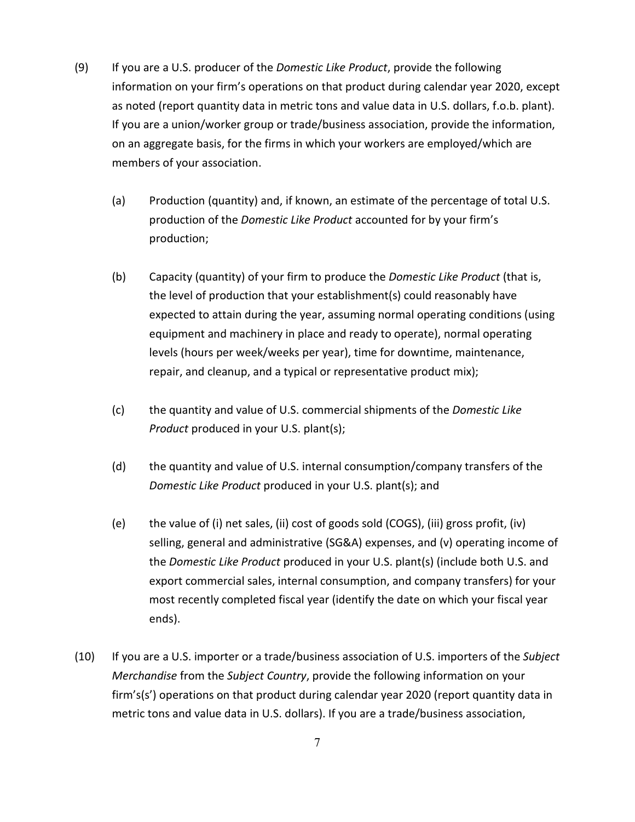- (9) If you are a U.S. producer of the *Domestic Like Product*, provide the following information on your firm's operations on that product during calendar year 2020, except as noted (report quantity data in metric tons and value data in U.S. dollars, f.o.b. plant). If you are a union/worker group or trade/business association, provide the information, on an aggregate basis, for the firms in which your workers are employed/which are members of your association.
	- (a) Production (quantity) and, if known, an estimate of the percentage of total U.S. production of the *Domestic Like Product* accounted for by your firm's production;
	- (b) Capacity (quantity) of your firm to produce the *Domestic Like Product* (that is, the level of production that your establishment(s) could reasonably have expected to attain during the year, assuming normal operating conditions (using equipment and machinery in place and ready to operate), normal operating levels (hours per week/weeks per year), time for downtime, maintenance, repair, and cleanup, and a typical or representative product mix);
	- (c) the quantity and value of U.S. commercial shipments of the *Domestic Like Product* produced in your U.S. plant(s);
	- (d) the quantity and value of U.S. internal consumption/company transfers of the *Domestic Like Product* produced in your U.S. plant(s); and
	- (e) the value of (i) net sales, (ii) cost of goods sold (COGS), (iii) gross profit, (iv) selling, general and administrative (SG&A) expenses, and (v) operating income of the *Domestic Like Product* produced in your U.S. plant(s) (include both U.S. and export commercial sales, internal consumption, and company transfers) for your most recently completed fiscal year (identify the date on which your fiscal year ends).
- (10) If you are a U.S. importer or a trade/business association of U.S. importers of the *Subject Merchandise* from the *Subject Country*, provide the following information on your firm's(s') operations on that product during calendar year 2020 (report quantity data in metric tons and value data in U.S. dollars). If you are a trade/business association,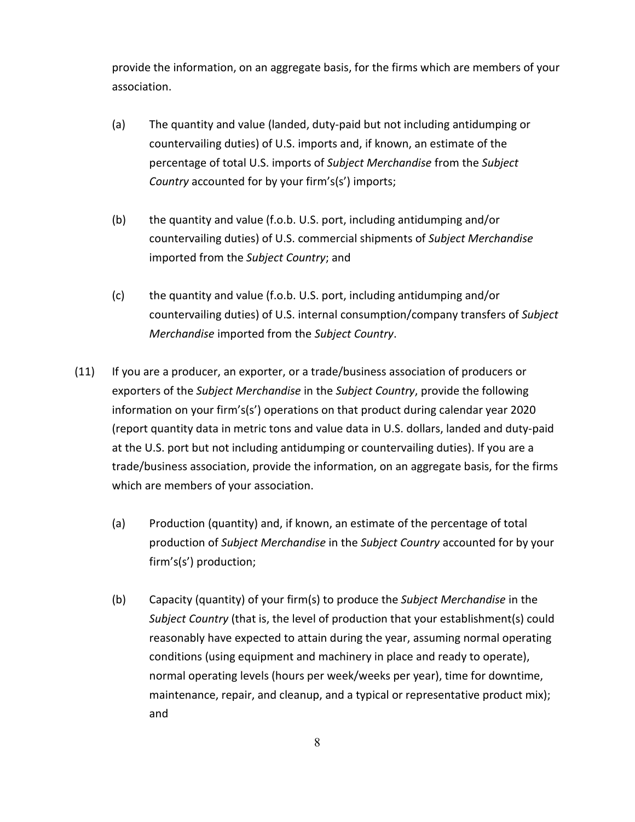provide the information, on an aggregate basis, for the firms which are members of your association.

- (a) The quantity and value (landed, duty-paid but not including antidumping or countervailing duties) of U.S. imports and, if known, an estimate of the percentage of total U.S. imports of *Subject Merchandise* from the *Subject Country* accounted for by your firm's(s') imports;
- (b) the quantity and value (f.o.b. U.S. port, including antidumping and/or countervailing duties) of U.S. commercial shipments of *Subject Merchandise* imported from the *Subject Country*; and
- (c) the quantity and value (f.o.b. U.S. port, including antidumping and/or countervailing duties) of U.S. internal consumption/company transfers of *Subject Merchandise* imported from the *Subject Country*.
- (11) If you are a producer, an exporter, or a trade/business association of producers or exporters of the *Subject Merchandise* in the *Subject Country*, provide the following information on your firm's(s') operations on that product during calendar year 2020 (report quantity data in metric tons and value data in U.S. dollars, landed and duty-paid at the U.S. port but not including antidumping or countervailing duties). If you are a trade/business association, provide the information, on an aggregate basis, for the firms which are members of your association.
	- (a) Production (quantity) and, if known, an estimate of the percentage of total production of *Subject Merchandise* in the *Subject Country* accounted for by your firm's(s') production;
	- (b) Capacity (quantity) of your firm(s) to produce the *Subject Merchandise* in the *Subject Country* (that is, the level of production that your establishment(s) could reasonably have expected to attain during the year, assuming normal operating conditions (using equipment and machinery in place and ready to operate), normal operating levels (hours per week/weeks per year), time for downtime, maintenance, repair, and cleanup, and a typical or representative product mix); and